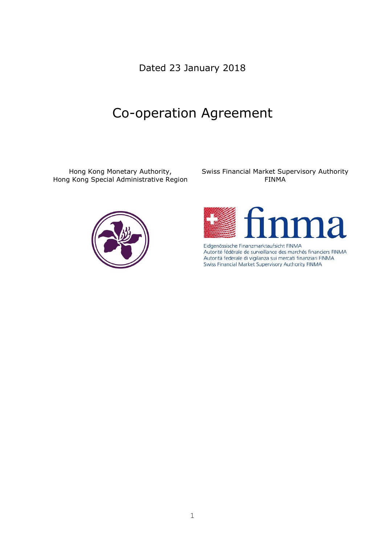Dated 23 January 2018

# Co-operation Agreement

Hong Kong Monetary Authority, Hong Kong Special Administrative Region



Swiss Financial Market Supervisory Authority FINMA



Eidgenössische Finanzmarktaufsicht FINMA Autorité fédérale de surveillance des marchés financiers FINMA Autorità federale di vigilanza sui mercati finanziari FINMA Swiss Financial Market Supervisory Authority FINMA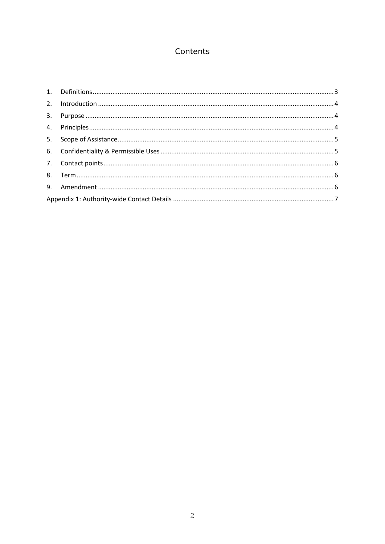# Contents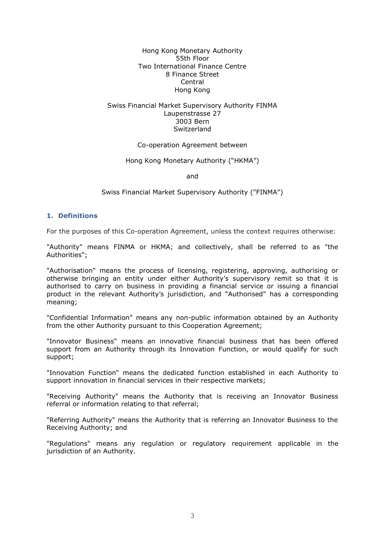Hong Kong Monetary Authority 55th Floor Two International Finance Centre 8 Finance Street Central Hong Kong

# Swiss Financial Market Supervisory Authority FINMA Laupenstrasse 27 3003 Bern Switzerland

#### Co-operation Agreement between

#### Hong Kong Monetary Authority ("HKMA")

and

Swiss Financial Market Supervisory Authority ("FINMA")

#### <span id="page-2-0"></span>**1. Definitions**

For the purposes of this Co-operation Agreement, unless the context requires otherwise:

"Authority" means FINMA or HKMA; and collectively, shall be referred to as "the Authorities";

"Authorisation" means the process of licensing, registering, approving, authorising or otherwise bringing an entity under either Authority's supervisory remit so that it is authorised to carry on business in providing a financial service or issuing a financial product in the relevant Authority's jurisdiction, and "Authorised" has a corresponding meaning;

"Confidential Information" means any non-public information obtained by an Authority from the other Authority pursuant to this Cooperation Agreement;

"Innovator Business" means an innovative financial business that has been offered support from an Authority through its Innovation Function, or would qualify for such support;

"Innovation Function" means the dedicated function established in each Authority to support innovation in financial services in their respective markets;

"Receiving Authority" means the Authority that is receiving an Innovator Business referral or information relating to that referral;

"Referring Authority" means the Authority that is referring an Innovator Business to the Receiving Authority; and

"Regulations" means any regulation or regulatory requirement applicable in the jurisdiction of an Authority.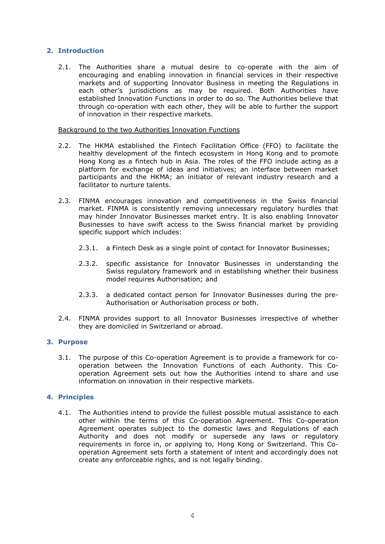# <span id="page-3-0"></span>**2. Introduction**

2.1. The Authorities share a mutual desire to co-operate with the aim of encouraging and enabling innovation in financial services in their respective markets and of supporting Innovator Business in meeting the Regulations in each other's jurisdictions as may be required. Both Authorities have established Innovation Functions in order to do so. The Authorities believe that through co-operation with each other, they will be able to further the support of innovation in their respective markets.

Background to the two Authorities Innovation Functions

- 2.2. The HKMA established the Fintech Facilitation Office (FFO) to facilitate the healthy development of the fintech ecosystem in Hong Kong and to promote Hong Kong as a fintech hub in Asia. The roles of the FFO include acting as a platform for exchange of ideas and initiatives; an interface between market participants and the HKMA; an initiator of relevant industry research and a facilitator to nurture talents.
- 2.3. FINMA encourages innovation and competitiveness in the Swiss financial market. FINMA is consistently removing unnecessary regulatory hurdles that may hinder Innovator Businesses market entry. It is also enabling Innovator Businesses to have swift access to the Swiss financial market by providing specific support which includes:
	- 2.3.1. a Fintech Desk as a single point of contact for Innovator Businesses;
	- 2.3.2. specific assistance for Innovator Businesses in understanding the Swiss regulatory framework and in establishing whether their business model requires Authorisation; and
	- 2.3.3. a dedicated contact person for Innovator Businesses during the pre-Authorisation or Authorisation process or both.
- 2.4. FINMA provides support to all Innovator Businesses irrespective of whether they are domiciled in Switzerland or abroad.

#### <span id="page-3-1"></span>**3. Purpose**

3.1. The purpose of this Co-operation Agreement is to provide a framework for cooperation between the Innovation Functions of each Authority. This Cooperation Agreement sets out how the Authorities intend to share and use information on innovation in their respective markets.

# <span id="page-3-2"></span>**4. Principles**

4.1. The Authorities intend to provide the fullest possible mutual assistance to each other within the terms of this Co-operation Agreement. This Co-operation Agreement operates subject to the domestic laws and Regulations of each Authority and does not modify or supersede any laws or regulatory requirements in force in, or applying to, Hong Kong or Switzerland. This Cooperation Agreement sets forth a statement of intent and accordingly does not create any enforceable rights, and is not legally binding.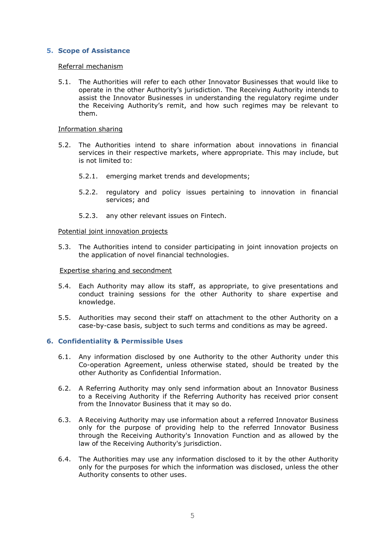# <span id="page-4-0"></span>**5. Scope of Assistance**

#### Referral mechanism

5.1. The Authorities will refer to each other Innovator Businesses that would like to operate in the other Authority's jurisdiction. The Receiving Authority intends to assist the Innovator Businesses in understanding the regulatory regime under the Receiving Authority's remit, and how such regimes may be relevant to them.

#### Information sharing

- 5.2. The Authorities intend to share information about innovations in financial services in their respective markets, where appropriate. This may include, but is not limited to:
	- 5.2.1. emerging market trends and developments;
	- 5.2.2. regulatory and policy issues pertaining to innovation in financial services; and
	- 5.2.3. any other relevant issues on Fintech.

#### Potential joint innovation projects

5.3. The Authorities intend to consider participating in joint innovation projects on the application of novel financial technologies.

#### Expertise sharing and secondment

- 5.4. Each Authority may allow its staff, as appropriate, to give presentations and conduct training sessions for the other Authority to share expertise and knowledge.
- 5.5. Authorities may second their staff on attachment to the other Authority on a case-by-case basis, subject to such terms and conditions as may be agreed.

#### <span id="page-4-1"></span>**6. Confidentiality & Permissible Uses**

- 6.1. Any information disclosed by one Authority to the other Authority under this Co-operation Agreement, unless otherwise stated, should be treated by the other Authority as Confidential Information.
- 6.2. A Referring Authority may only send information about an Innovator Business to a Receiving Authority if the Referring Authority has received prior consent from the Innovator Business that it may so do.
- 6.3. A Receiving Authority may use information about a referred Innovator Business only for the purpose of providing help to the referred Innovator Business through the Receiving Authority's Innovation Function and as allowed by the law of the Receiving Authority's jurisdiction.
- 6.4. The Authorities may use any information disclosed to it by the other Authority only for the purposes for which the information was disclosed, unless the other Authority consents to other uses.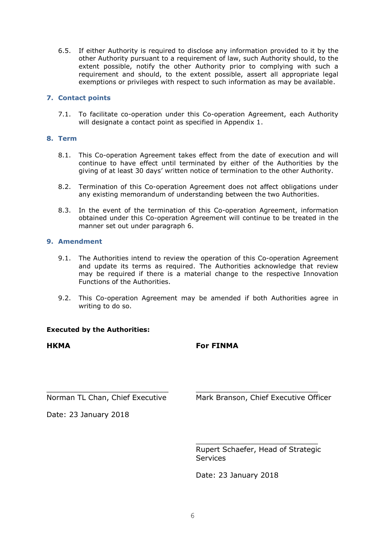6.5. If either Authority is required to disclose any information provided to it by the other Authority pursuant to a requirement of law, such Authority should, to the extent possible, notify the other Authority prior to complying with such a requirement and should, to the extent possible, assert all appropriate legal exemptions or privileges with respect to such information as may be available.

# <span id="page-5-0"></span>**7. Contact points**

7.1. To facilitate co-operation under this Co-operation Agreement, each Authority will designate a contact point as specified in Appendix 1.

# <span id="page-5-1"></span>**8. Term**

- 8.1. This Co-operation Agreement takes effect from the date of execution and will continue to have effect until terminated by either of the Authorities by the giving of at least 30 days' written notice of termination to the other Authority.
- 8.2. Termination of this Co-operation Agreement does not affect obligations under any existing memorandum of understanding between the two Authorities.
- 8.3. In the event of the termination of this Co-operation Agreement, information obtained under this Co-operation Agreement will continue to be treated in the manner set out under paragraph 6.

# <span id="page-5-2"></span>**9. Amendment**

- 9.1. The Authorities intend to review the operation of this Co-operation Agreement and update its terms as required. The Authorities acknowledge that review may be required if there is a material change to the respective Innovation Functions of the Authorities.
- 9.2. This Co-operation Agreement may be amended if both Authorities agree in writing to do so.

# **Executed by the Authorities:**

# **HKMA**

# **For FINMA**

\_\_\_\_\_\_\_\_\_\_\_\_\_\_\_\_\_\_\_\_\_\_\_\_\_\_\_ Norman TL Chan, Chief Executive

Mark Branson, Chief Executive Officer

\_\_\_\_\_\_\_\_\_\_\_\_\_\_\_\_\_\_\_\_\_\_\_\_\_\_\_

Date: 23 January 2018

\_\_\_\_\_\_\_\_\_\_\_\_\_\_\_\_\_\_\_\_\_\_\_\_\_\_\_ Rupert Schaefer, Head of Strategic **Services** 

Date: 23 January 2018